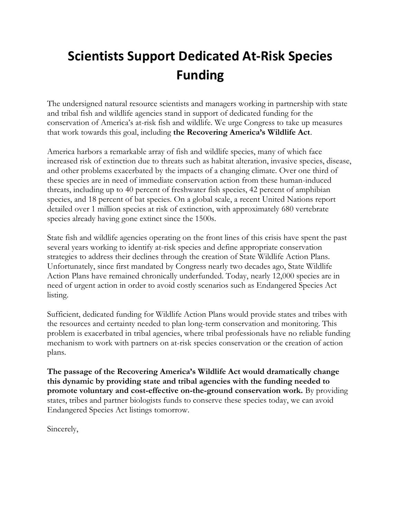# **Scientists Support Dedicated At-Risk Species Funding**

The undersigned natural resource scientists and managers working in partnership with state and tribal fish and wildlife agencies stand in support of dedicated funding for the conservation of America's at-risk fish and wildlife. We urge Congress to take up measures that work towards this goal, including **the Recovering America's Wildlife Act**.

America harbors a remarkable array of fish and wildlife species, many of which face increased risk of extinction due to threats such as habitat alteration, invasive species, disease, and other problems exacerbated by the impacts of a changing climate. Over one third of these species are in need of immediate conservation action from these human-induced threats, including up to 40 percent of freshwater fish species, 42 percent of amphibian species, and 18 percent of bat species. On a global scale, a recent United Nations report detailed over 1 million species at risk of extinction, with approximately 680 vertebrate species already having gone extinct since the 1500s.

State fish and wildlife agencies operating on the front lines of this crisis have spent the past several years working to identify at-risk species and define appropriate conservation strategies to address their declines through the creation of State Wildlife Action Plans. Unfortunately, since first mandated by Congress nearly two decades ago, State Wildlife Action Plans have remained chronically underfunded. Today, nearly 12,000 species are in need of urgent action in order to avoid costly scenarios such as Endangered Species Act listing.

Sufficient, dedicated funding for Wildlife Action Plans would provide states and tribes with the resources and certainty needed to plan long-term conservation and monitoring. This problem is exacerbated in tribal agencies, where tribal professionals have no reliable funding mechanism to work with partners on at-risk species conservation or the creation of action plans.

**The passage of the Recovering America's Wildlife Act would dramatically change this dynamic by providing state and tribal agencies with the funding needed to promote voluntary and cost-effective on-the-ground conservation work.** By providing states, tribes and partner biologists funds to conserve these species today, we can avoid Endangered Species Act listings tomorrow.

Sincerely,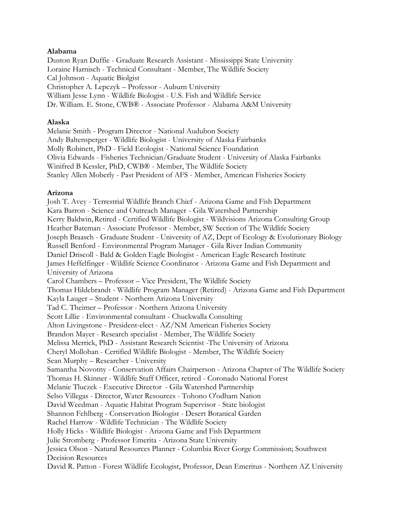#### **Alabama**

Duston Ryan Duffie - Graduate Research Assistant - Mississippi State University Loraine Harnisch - Technical Consultant - Member, The Wildlife Society Cal Johnson - Aquatic Biolgist Christopher A. Lepczyk – Professor - Auburn University William Jesse Lynn - Wildlife Biologist - U.S. Fish and Wildlife Service Dr. William. E. Stone, CWB® - Associate Professor - Alabama A&M University

#### **Alaska**

Melanie Smith - Program Director - National Audubon Society Andy Baltensperger - Wildlife Biologist - University of Alaska Fairbanks Molly Robinett, PhD - Field Ecologist - National Science Foundation Olivia Edwards - Fisheries Technician/Graduate Student - University of Alaska Fairbanks Winifred B Kessler, PhD, CWB® - Member, The Wildlife Society Stanley Allen Moberly - Past President of AFS - Member, American Fisheries Society

#### **Arizona**

Josh T. Avey - Terrestrial Wildlife Branch Chief - Arizona Game and Fish Department Kara Barron - Science and Outreach Manager - Gila Watershed Partnership Kerry Baldwin,Retired - Certified Wildlife Biologist - Wildvisions Arizona Consulting Group Heather Bateman - Associate Professor - Member, SW Section of The Wildlife Society Joseph Braasch - Graduate Student - University of AZ, Dept of Ecology & Evolutionary Biology Russell Benford - Environmental Program Manager - Gila River Indian Community Daniel Driscoll - Bald & Golden Eagle Biologist - American Eagle Research Institute James Heffelfinger - Wildlife Science Coordinator - Arizona Game and Fish Department and University of Arizona Carol Chambers – Professor – Vice President, The Wildlife Society Thomas Hildebrandt - Wildlife Program Manager (Retired) - Arizona Game and Fish Department Kayla Lauger – Student - Northern Arizona University Tad C. Theimer – Professor - Northern Arizona University Scott Lillie - Environmental consultant - Chuckwalla Consulting Alton Livingstone - President-elect - AZ/NM American Fisheries Society Brandon Mayer - Research specialist - Member, The Wildlife Society Melissa Merrick, PhD - Assistant Research Scientist -The University of Arizona Cheryl Mollohan - Certified Wildlife Biologist - Member, The Wildlife Society Sean Murphy – Researcher - University Samantha Novotny - Conservation Affairs Chairperson - Arizona Chapter of The Wildlife Society Thomas H. Skinner - Wildlife Staff Officer, retired - Coronado National Forest Melanie Tluczek - Executive Director - Gila Watershed Partnership Selso Villegas - Director, Water Resources - Tohono O'odham Nation David Weedman - Aquatic Habitat Program Supervisor - State biologist Shannon Fehlberg - Conservation Biologist - Desert Botanical Garden Rachel Harrow - Wildlife Technician - The Wildlife Society Holly Hicks - Wildlife Biologist - Arizona Game and Fish Department Julie Stromberg - Professor Emerita - Arizona State University Jessica Olson - Natural Resources Planner - Columbia River Gorge Commission; Southwest Decision Resources David R. Patton - Forest Wildlife Ecologist, Professor, Dean Emeritus - Northern AZ University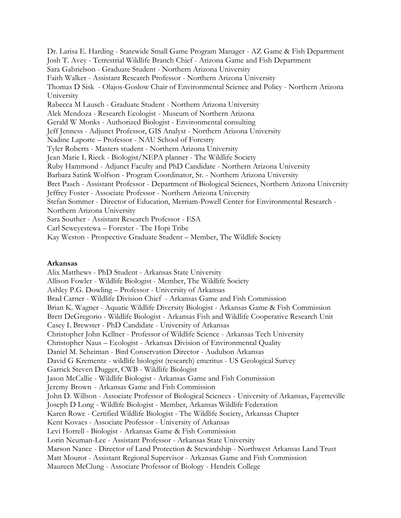Dr. Larisa E. Harding - Statewide Small Game Program Manager - AZ Game & Fish Department Josh T. Avey - Terrestrial Wildlife Branch Chief - Arizona Game and Fish Department Sara Gabrielson - Graduate Student - Northern Arizona University Faith Walker - Assistant Research Professor - Northern Arizona University Thomas D Sisk - Olajos-Goslow Chair of Environmental Science and Policy - Northern Arizona University Rabecca M Lausch - Graduate Student - Northern Arizona University Alek Mendoza - Research Ecologist - Museum of Northern Arizona Gerald W Monks - Authorized Biologist - Environmental consulting Jeff Jenness - Adjunct Professor, GIS Analyst - Northern Arizona University Nadine Laporte – Professor - NAU School of Forestry Tyler Roberts - Masters student - Northern Arizona University Jean Marie L Rieck - Biologist/NEPA planner - The Wildlife Society Ruby Hammond - Adjunct Faculty and PhD Candidate - Northern Arizona University Barbara Satink Wolfson - Program Coordinator, Sr. - Northern Arizona University Bret Pasch - Assistant Professor - Department of Biological Sciences, Northern Arizona University Jeffrey Foster - Associate Professor - Northern Arizona University Stefan Sommer - Director of Education, Merriam-Powell Center for Environmental Research - Northern Arizona University Sara Souther - Assistant Research Professor - ESA Carl Seweyestewa – Forester - The Hopi Tribe Kay Weston - Prospective Graduate Student – Member, The Wildlife Society

#### **Arkansas**

Alix Matthews - PhD Student - Arkansas State University Allison Fowler - Wildlife Biologist - Member, The Wildlife Society Ashley P.G. Dowling – Professor - University of Arkansas Brad Carner - Wildlife Division Chief - Arkansas Game and Fish Commission Brian K. Wagner - Aquatic Wildlife Diversity Biologist - Arkansas Game & Fish Commission Brett DeGregorio - Wildlife Biologist - Arkansas Fish and Wildlife Cooperative Research Unit Casey L Brewster - PhD Candidate - University of Arkansas Christopher John Kellner - Professor of Wildlife Science - Arkansas Tech University Christopher Naus – Ecologist - Arkansas Division of Environmental Quality Daniel M. Scheiman - Bird Conservation Director - Audubon Arkansas David G Krementz - wildlife biologist (research) emeritus - US Geological Survey Garrick Steven Dugger, CWB - Wildlife Biologist Jason McCallie - Wildlife Biologist - Arkansas Game and Fish Commission Jeremy Brown - Arkansas Game and Fish Commission John D. Willson - Associate Professor of Biological Sciences - University of Arkansas, Fayetteville Joseph D Long - Wildlife Biologist - Member, Arkansas Wildlife Federation Karen Rowe - Certified Wildlife Biologist - The Wildlife Society, Arkansas Chapter Kent Kovacs - Associate Professor - University of Arkansas Levi Horrell - Biologist - Arkansas Game & Fish Commission Lorin Neuman-Lee - Assistant Professor - Arkansas State University Marson Nance - Director of Land Protection & Stewardship - Northwest Arkansas Land Trust Matt Mourot - Assistant Regional Supervisor - Arkansas Game and Fish Commission Maureen McClung - Associate Professor of Biology - Hendrix College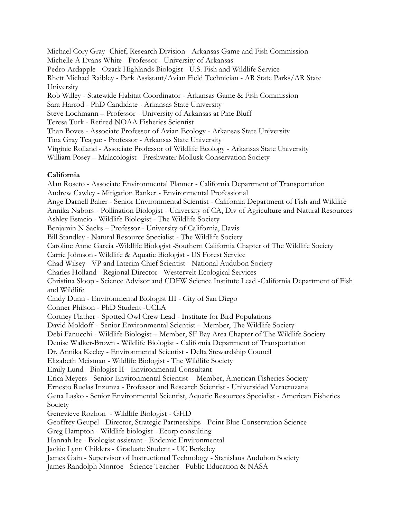Michael Cory Gray- Chief, Research Division - Arkansas Game and Fish Commission Michelle A Evans-White - Professor - University of Arkansas Pedro Ardapple - Ozark Highlands Biologist - U.S. Fish and Wildlife Service Rhett Michael Raibley - Park Assistant/Avian Field Technician - AR State Parks/AR State University Rob Willey - Statewide Habitat Coordinator - Arkansas Game & Fish Commission Sara Harrod - PhD Candidate - Arkansas State University Steve Lochmann – Professor - University of Arkansas at Pine Bluff Teresa Turk - Retired NOAA Fisheries Scientist Than Boves - Associate Professor of Avian Ecology - Arkansas State University Tina Gray Teague - Professor - Arkansas State University Virginie Rolland - Associate Professor of Wildlife Ecology - Arkansas State University William Posey – Malacologist - Freshwater Mollusk Conservation Society

## **California**

Alan Roseto - Associate Environmental Planner - California Department of Transportation Andrew Cawley - Mitigation Banker - Environmental Professional Ange Darnell Baker - Senior Environmental Scientist - California Department of Fish and Wildlife Annika Nabors - Pollination Biologist - University of CA, Div of Agriculture and Natural Resources Ashley Estacio - Wildlife Biologist - The Wildlife Society Benjamin N Sacks – Professor - University of California, Davis Bill Standley - Natural Resource Specialist - The Wildlife Society Caroline Anne Garcia -Wildlife Biologist -Southern California Chapter of The Wildlife Society Carrie Johnson - Wildlife & Aquatic Biologist - US Forest Service Chad Wilsey - VP and Interim Chief Scientist - National Audubon Society Charles Holland - Regional Director - Westervelt Ecological Services Christina Sloop - Science Advisor and CDFW Science Institute Lead -California Department of Fish and Wildlife Cindy Dunn - Environmental Biologist III - City of San Diego Conner Philson - PhD Student -UCLA Cortney Flather - Spotted Owl Crew Lead - Institute for Bird Populations David Moldoff - Senior Environmental Scientist – Member, The Wildlife Society Debi Fanucchi - Wildlife Biologist – Member, SF Bay Area Chapter of The Wildlife Society Denise Walker-Brown - Wildlife Biologist - California Department of Transportation Dr. Annika Keeley - Environmental Scientist - Delta Stewardship Council Elizabeth Meisman - Wildlife Biologist - The Wildlife Society Emily Lund - Biologist II - Environmental Consultant Erica Meyers - Senior Environmental Scientist - Member, American Fisheries Society Ernesto Ruelas Inzunza - Professor and Research Scientist - Universidad Veracruzana Gena Lasko - Senior Environmental Scientist, Aquatic Resources Specialist - American Fisheries Society Genevieve Rozhon - Wildlife Biologist - GHD Geoffrey Geupel - Director, Strategic Partnerships - Point Blue Conservation Science Greg Hampton - Wildlife biologist - Ecorp consulting Hannah lee - Biologist assistant - Endemic Environmental Jackie Lynn Childers - Graduate Student - UC Berkeley James Gain - Supervisor of Instructional Technology - Stanislaus Audubon Society

James Randolph Monroe - Science Teacher - Public Education & NASA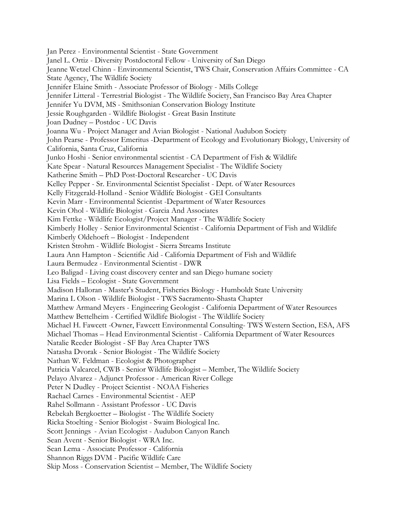Jan Perez - Environmental Scientist - State Government Janel L. Ortiz - Diversity Postdoctoral Fellow - University of San Diego Jeanne Wetzel Chinn - Environmental Scientist, TWS Chair, Conservation Affairs Committee - CA State Agency, The Wildlife Society Jennifer Elaine Smith - Associate Professor of Biology - Mills College Jennifer Litteral - Terrestrial Biologist - The Wildlife Society, San Francisco Bay Area Chapter Jennifer Yu DVM, MS - Smithsonian Conservation Biology Institute Jessie Roughgarden - Wildlife Biologist - Great Basin Institute Joan Dudney – Postdoc - UC Davis Joanna Wu - Project Manager and Avian Biologist - National Audubon Society John Pearse - Professor Emeritus -Department of Ecology and Evolutionary Biology, University of California, Santa Cruz, California Junko Hoshi - Senior environmental scientist - CA Department of Fish & Wildlife Kate Spear - Natural Resources Management Specialist - The Wildlife Society Katherine Smith – PhD Post-Doctoral Researcher - UC Davis Kelley Pepper - Sr. Environmental Scientist Specialist - Dept. of Water Resources Kelly Fitzgerald-Holland - Senior Wildlife Biologist - GEI Consultants Kevin Marr - Environmental Scientist -Department of Water Resources Kevin Ohol - Wildlife Biologist - Garcia And Associates Kim Fettke - Wildlife Ecologist/Project Manager - The Wildlife Society Kimberly Holley - Senior Environmental Scientist - California Department of Fish and Wildlife Kimberly Oldehoeft – Biologist - Independent Kristen Strohm - Wildlife Biologist - Sierra Streams Institute Laura Ann Hampton - Scientific Aid - California Department of Fish and Wildlife Laura Bermudez - Environmental Scientist - DWR Leo Baligad - Living coast discovery center and san Diego humane society Lisa Fields – Ecologist - State Government Madison Halloran - Master's Student, Fisheries Biology - Humboldt State University Marina L Olson - Wildlife Biologist - TWS Sacramento-Shasta Chapter Matthew Armand Meyers - Engineering Geologist - California Department of Water Resources Matthew Bettelheim - Certified Wildlife Biologist - The Wildlife Society Michael H. Fawcett -Owner, Fawcett Environmental Consulting- TWS Western Section, ESA, AFS Michael Thomas – Head Environmental Scientist - California Department of Water Resources Natalie Reeder Biologist - SF Bay Area Chapter TWS Natasha Dvorak - Senior Biologist - The Wildlife Society Nathan W. Feldman - Ecologist & Photographer Patricia Valcarcel, CWB - Senior Wildlife Biologist – Member, The Wildlife Society Pelayo Alvarez - Adjunct Professor - American River College Peter N Dudley - Project Scientist - NOAA Fisheries Rachael Carnes - Environmental Scientist - AEP Rahel Sollmann - Assistant Professor - UC Davis Rebekah Bergkoetter – Biologist - The Wildlife Society Ricka Stoelting - Senior Biologist - Swaim Biological Inc. Scott Jennings - Avian Ecologist - Audubon Canyon Ranch Sean Avent - Senior Biologist - WRA Inc. Sean Lema - Associate Professor - California Shannon Riggs DVM - Pacific Wildlife Care Skip Moss - Conservation Scientist – Member, The Wildlife Society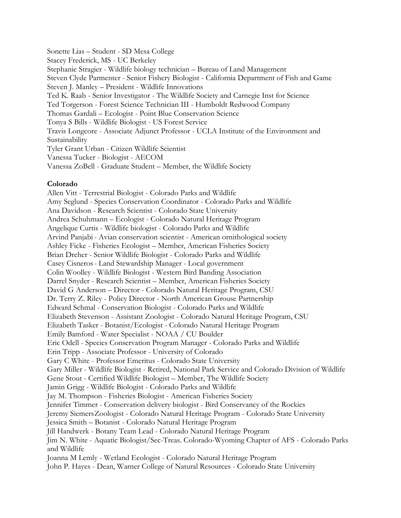Sonette Lias – Student - SD Mesa College Stacey Frederick, MS - UC Berkeley Stephanie Stragier - Wildlife biology technician – Bureau of Land Management Steven Clyde Parmenter - Senior Fishery Biologist - California Department of Fish and Game Steven J. Manley – President - Wildlife Innovations Ted K. Raab - Senior Investigator - The Wildlife Society and Carnegie Inst for Science Ted Torgerson - Forest Science Technician III - Humboldt Redwood Company Thomas Gardali – Ecologist - Point Blue Conservation Science Tonya S Bills - Wildlife Biologist - US Forest Service Travis Longcore - Associate Adjunct Professor - UCLA Institute of the Environment and Sustainability Tyler Grant Urban - Citizen Wildlife Scientist Vanessa Tucker - Biologist - AECOM Vanessa ZoBell - Graduate Student – Member, the Wildlife Society

#### **Colorado**

Allen Vitt - Terrestrial Biologist - Colorado Parks and Wildlife Amy Seglund - Species Conservation Coordinator - Colorado Parks and Wildlife Ana Davidson - Research Scientist - Colorado State University Andrea Schuhmann – Ecologist - Colorado Natural Heritage Program Angelique Curtis - Wildlife biologist - Colorado Parks and Wildlife Arvind Panjabi - Avian conservation scientist - American ornithological society Ashley Ficke - Fisheries Ecologist – Member, American Fisheries Society Brian Dreher - Senior Wildlife Biologist - Colorado Parks and Wildlife Casey Cisneros- Land Stewardship Manager - Local government Colin Woolley - Wildlife Biologist - Western Bird Banding Association Darrel Snyder - Research Scientist – Member, American Fisheries Society David G Anderson – Director - Colorado Natural Heritage Program, CSU Dr. Terry Z. Riley - Policy Director - North American Grouse Partnership Edward Schmal - Conservation Biologist - Colorado Parks and Wildlife Elizabeth Stevenson - Assistant Zoologist - Colorado Natural Heritage Program, CSU Elizabeth Tasker - Botanist/Ecologist - Colorado Natural Heritage Program Emily Bamford - Water Specialist - NOAA / CU Boulder Eric Odell - Species Conservation Program Manager - Colorado Parks and Wildlife Erin Tripp - Associate Professor - University of Colorado Gary C White - Professor Emeritus - Colorado State University Gary Miller - Wildlife Biologist - Retired, National Park Service and Colorado Division of Wildlife Gene Stout - Certified Wildlife Biologist – Member, The Wildlife Society Jamin Grigg - Wildlife Biologist - Colorado Parks and Wildlife Jay M. Thompson - Fisheries Biologist - American Fisheries Society Jennifer Timmer - Conservation delivery biologist - Bird Conservancy of the Rockies Jeremy SiemersZoologist - Colorado Natural Heritage Program - Colorado State University Jessica Smith – Botanist - Colorado Natural Heritage Program Jill Handwerk - Botany Team Lead - Colorado Natural Heritage Program Jim N. White - Aquatic Biologist/Sec-Treas. Colorado-Wyoming Chapter of AFS - Colorado Parks and Wildlife Joanna M Lemly - Wetland Ecologist - Colorado Natural Heritage Program John P. Hayes - Dean, Warner College of Natural Resources - Colorado State University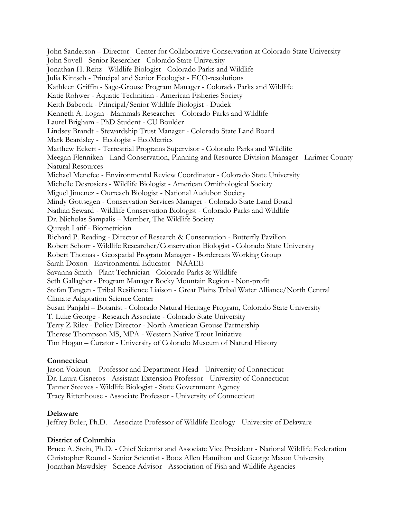John Sanderson – Director - Center for Collaborative Conservation at Colorado State University John Sovell - Senior Resercher - Colorado State University Jonathan H. Reitz - Wildlife Biologist - Colorado Parks and Wildlife Julia Kintsch - Principal and Senior Ecologist - ECO-resolutions Kathleen Griffin - Sage-Grouse Program Manager - Colorado Parks and Wildlife Katie Rohwer - Aquatic Technitian - American Fisheries Society Keith Babcock - Principal/Senior Wildlife Biologist - Dudek Kenneth A. Logan - Mammals Researcher - Colorado Parks and Wildlife Laurel Brigham - PhD Student - CU Boulder Lindsey Brandt - Stewardship Trust Manager - Colorado State Land Board Mark Beardsley - Ecologist - EcoMetrics Matthew Eckert - Terrestrial Programs Supervisor - Colorado Parks and Wildlife Meegan Flenniken - Land Conservation, Planning and Resource Division Manager - Larimer County Natural Resources Michael Menefee - Environmental Review Coordinator - Colorado State University Michelle Desrosiers - Wildlife Biologist - American Ornithological Society Miguel Jimenez - Outreach Biologist - National Audubon Society Mindy Gottsegen - Conservation Services Manager - Colorado State Land Board Nathan Seward - Wildlife Conservation Biologist - Colorado Parks and Wildlife Dr. Nicholas Sampalis – Member, The Wildlife Society Quresh Latif - Biometrician Richard P. Reading - Director of Research & Conservation - Butterfly Pavilion Robert Schorr - Wildlife Researcher/Conservation Biologist - Colorado State University Robert Thomas - Geospatial Program Manager - Bordercats Working Group Sarah Doxon - Environmental Educator - NAAEE Savanna Smith - Plant Technician - Colorado Parks & Wildlife Seth Gallagher - Program Manager Rocky Mountain Region - Non-profit Stefan Tangen - Tribal Resilience Liaison - Great Plains Tribal Water Alliance/North Central Climate Adaptation Science Center Susan Panjabi – Botanist - Colorado Natural Heritage Program, Colorado State University T. Luke George - Research Associate - Colorado State University Terry Z Riley - Policy Director - North American Grouse Partnership Therese Thompson MS, MPA - Western Native Trout Initiative Tim Hogan – Curator - University of Colorado Museum of Natural History

## **Connecticut**

Jason Vokoun - Professor and Department Head - University of Connecticut Dr. Laura Cisneros - Assistant Extension Professor - University of Connecticut Tanner Steeves - Wildlife Biologist - State Government Agency Tracy Rittenhouse - Associate Professor - University of Connecticut

## **Delaware**

Jeffrey Buler, Ph.D. - Associate Professor of Wildlife Ecology - University of Delaware

## **District of Columbia**

Bruce A. Stein, Ph.D. - Chief Scientist and Associate Vice President - National Wildlife Federation Christopher Round - Senior Scientist - Booz Allen Hamilton and George Mason University Jonathan Mawdsley - Science Advisor - Association of Fish and Wildlife Agencies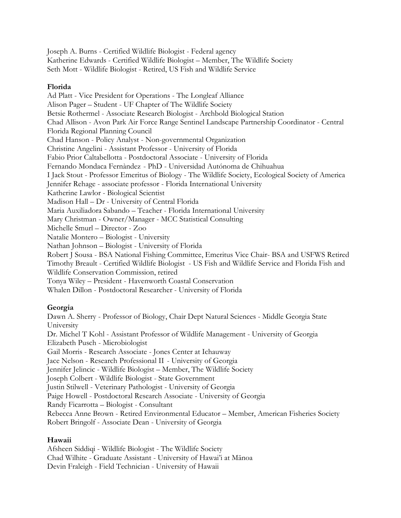Joseph A. Burns - Certified Wildlife Biologist - Federal agency Katherine Edwards - Certified Wildlife Biologist – Member, The Wildlife Society Seth Mott - Wildlife Biologist - Retired, US Fish and Wildlife Service

#### **Florida**

Ad Platt - Vice President for Operations - The Longleaf Alliance Alison Pager – Student - UF Chapter of The Wildlife Society Betsie Rothermel - Associate Research Biologist - Archbold Biological Station Chad Allison - Avon Park Air Force Range Sentinel Landscape Partnership Coordinator - Central Florida Regional Planning Council Chad Hanson - Policy Analyst - Non-governmental Organization Christine Angelini - Assistant Professor - University of Florida Fabio Prior Caltabellotta - Postdoctoral Associate - University of Florida Fernando Mondaca Fernàndez - PhD - Universidad Autónoma de Chihuahua I Jack Stout - Professor Emeritus of Biology - The Wildlife Society, Ecological Society of America Jennifer Rehage - associate professor - Florida International University Katherine Lawlor - Biological Scientist Madison Hall – Dr - University of Central Florida Maria Auxiliadora Sabando – Teacher - Florida International University Mary Christman - Owner/Manager - MCC Statistical Consulting Michelle Smurl – Director - Zoo Natalie Montero – Biologist - University Nathan Johnson – Biologist - University of Florida Robert J Sousa - BSA National Fishing Committee, Emeritus Vice Chair- BSA and USFWS Retired Timothy Breault - Certified Wildlife Biologist - US Fish and Wildlife Service and Florida Fish and Wildlife Conservation Commission, retired Tonya Wiley – President - Havenworth Coastal Conservation Whalen Dillon - Postdoctoral Researcher - University of Florida

## **Georgia**

Dawn A. Sherry - Professor of Biology, Chair Dept Natural Sciences - Middle Georgia State University Dr. Michel T Kohl - Assistant Professor of Wildlife Management - University of Georgia Elizabeth Pusch - Microbiologist Gail Morris - Research Associate - Jones Center at Ichauway Jace Nelson - Research Professional II - University of Georgia Jennifer Jelincic - Wildlife Biologist – Member, The Wildlife Society Joseph Colbert - Wildlife Biologist - State Government Justin Stilwell - Veterinary Pathologist - University of Georgia Paige Howell - Postdoctoral Research Associate - University of Georgia Randy Ficarrotta – Biologist - Consultant Rebecca Anne Brown - Retired Environmental Educator – Member, American Fisheries Society Robert Bringolf - Associate Dean - University of Georgia

## **Hawaii**

Afsheen Siddiqi - Wildlife Biologist - The Wildlife Society Chad Wilhite - Graduate Assistant - University of Hawai'i at Mānoa Devin Fraleigh - Field Technician - University of Hawaii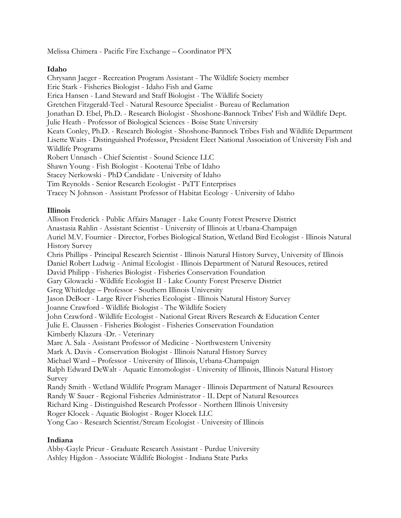Melissa Chimera - Pacific Fire Exchange – Coordinator PFX

## **Idaho**

Chrysann Jaeger - Recreation Program Assistant - The Wildlife Society member Eric Stark - Fisheries Biologist - Idaho Fish and Game Erica Hansen - Land Steward and Staff Biologist - The Wildlife Society Gretchen Fitzgerald-Teel - Natural Resource Specialist - Bureau of Reclamation Jonathan D. Ebel, Ph.D. - Research Biologist - Shoshone-Bannock Tribes' Fish and Wildlife Dept. Julie Heath - Professor of Biological Sciences - Boise State University Keats Conley, Ph.D. - Research Biologist - Shoshone-Bannock Tribes Fish and Wildlife Department Lisette Waits - Distinguished Professor, President Elect National Association of University Fish and Wildlife Programs Robert Unnasch - Chief Scientist - Sound Science LLC Shawn Young - Fish Biologist - Kootenai Tribe of Idaho Stacey Nerkowski - PhD Candidate - University of Idaho Tim Reynolds - Senior Research Ecologist - PaTT Enterprises Tracey N Johnson - Assistant Professor of Habitat Ecology - University of Idaho

# **Illinois**

Allison Frederick - Public Affairs Manager - Lake County Forest Preserve District Anastasia Rahlin - Assistant Scientist - University of Illinois at Urbana-Champaign Auriel M.V. Fournier - Director, Forbes Biological Station, Wetland Bird Ecologist - Illinois Natural History Survey Chris Phillips - Principal Research Scientist - Illinois Natural History Survey, University of Illinois Daniel Robert Ludwig - Animal Ecologist - Illinois Department of Natural Resouces, retired David Philipp - Fisheries Biologist - Fisheries Conservation Foundation Gary Glowacki - Wildlife Ecologist II - Lake County Forest Preserve District Greg Whitledge – Professor - Southern Illinois University Jason DeBoer - Large River Fisheries Ecologist - Illinois Natural History Survey Joanne Crawford - Wildlife Biologist - The Wildlife Society John Crawford - Wildlife Ecologist - National Great Rivers Research & Education Center Julie E. Claussen - Fisheries Biologist - Fisheries Conservation Foundation Kimberly Klazura -Dr. - Veterinary Marc A. Sala - Assistant Professor of Medicine - Northwestern University Mark A. Davis - Conservation Biologist - Illinois Natural History Survey Michael Ward – Professor - University of Illinois, Urbana-Champaign Ralph Edward DeWalt - Aquatic Entomologist - University of Illinois, Illinois Natural History Survey Randy Smith - Wetland Wildlife Program Manager - Illinois Department of Natural Resources Randy W Sauer - Regional Fisheries Administrator - IL Dept of Natural Resources Richard King - Distinguished Research Professor - Northern Illinois University Roger Klocek - Aquatic Biologist - Roger Klocek LLC Yong Cao - Research Scientist/Stream Ecologist - University of Illinois

## **Indiana**

Abby-Gayle Prieur - Graduate Research Assistant - Purdue University Ashley Higdon - Associate Wildlife Biologist - Indiana State Parks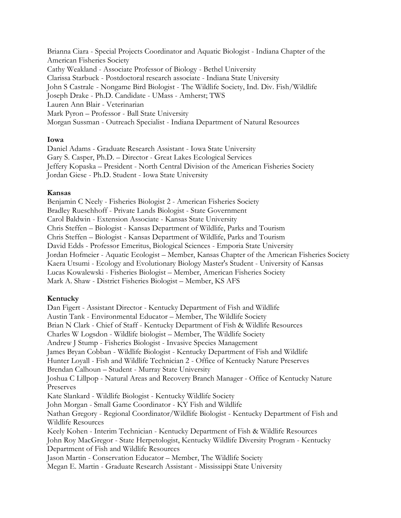Brianna Ciara - Special Projects Coordinator and Aquatic Biologist - Indiana Chapter of the American Fisheries Society Cathy Weakland - Associate Professor of Biology - Bethel University Clarissa Starbuck - Postdoctoral research associate - Indiana State University John S Castrale - Nongame Bird Biologist - The Wildlife Society, Ind. Div. Fish/Wildlife Joseph Drake - Ph.D. Candidate - UMass - Amherst; TWS Lauren Ann Blair - Veterinarian Mark Pyron – Professor - Ball State University Morgan Sussman - Outreach Specialist - Indiana Department of Natural Resources

#### **Iowa**

Daniel Adams - Graduate Research Assistant - Iowa State University Gary S. Casper, Ph.D. – Director - Great Lakes Ecological Services Jeffery Kopaska – President - North Central Division of the American Fisheries Society Jordan Giese - Ph.D. Student - Iowa State University

#### **Kansas**

Benjamin C Neely - Fisheries Biologist 2 - American Fisheries Society Bradley Rueschhoff - Private Lands Biologist - State Government Carol Baldwin - Extension Associate - Kansas State University Chris Steffen – Biologist - Kansas Department of Wildlife, Parks and Tourism Chris Steffen – Biologist - Kansas Department of Wildlife, Parks and Tourism David Edds - Professor Emeritus, Biological Sciences - Emporia State University Jordan Hofmeier - Aquatic Ecologist – Member, Kansas Chapter of the American Fisheries Society Kaera Utsumi - Ecology and Evolutionary Biology Master's Student - University of Kansas Lucas Kowalewski - Fisheries Biologist – Member, American Fisheries Society Mark A. Shaw - District Fisheries Biologist – Member, KS AFS

## **Kentucky**

Dan Figert - Assistant Director - Kentucky Department of Fish and Wildlife Austin Tank - Environmental Educator – Member, The Wildlife Society Brian N Clark - Chief of Staff - Kentucky Department of Fish & Wildlife Resources Charles W Logsdon - Wildlife biologist – Member, The Wildlife Society Andrew J Stump - Fisheries Biologist - Invasive Species Management James Bryan Cobban - Wildlife Biologist - Kentucky Department of Fish and Wildlife Hunter Loyall - Fish and Wildlife Technician 2 - Office of Kentucky Nature Preserves Brendan Calhoun – Student - Murray State University Joshua C Lillpop - Natural Areas and Recovery Branch Manager - Office of Kentucky Nature Preserves Kate Slankard - Wildlife Biologist - Kentucky Wildlife Society John Morgan - Small Game Coordinator - KY Fish and Wildlife Nathan Gregory - Regional Coordinator/Wildlife Biologist - Kentucky Department of Fish and Wildlife Resources Keely Kohen - Interim Technician - Kentucky Department of Fish & Wildlife Resources John Roy MacGregor - State Herpetologist, Kentucky Wildlife Diversity Program - Kentucky Department of Fish and Wildlife Resources Jason Martin - Conservation Educator – Member, The Wildlife Society Megan E. Martin - Graduate Research Assistant - Mississippi State University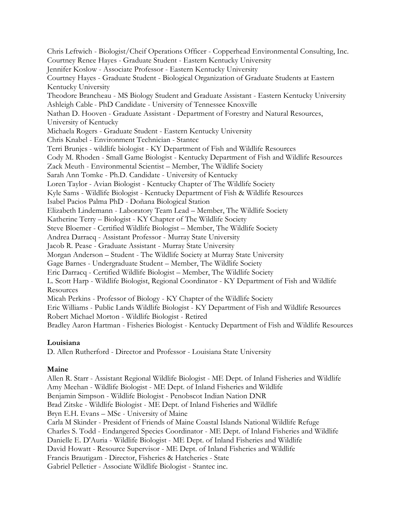Chris Leftwich - Biologist/Cheif Operations Officer - Copperhead Environmental Consulting, Inc. Courtney Renee Hayes - Graduate Student - Eastern Kentucky University Jennifer Koslow - Associate Professor - Eastern Kentucky University Courtney Hayes - Graduate Student - Biological Organization of Graduate Students at Eastern Kentucky University Theodore Brancheau - MS Biology Student and Graduate Assistant - Eastern Kentucky University Ashleigh Cable - PhD Candidate - University of Tennessee Knoxville Nathan D. Hooven - Graduate Assistant - Department of Forestry and Natural Resources, University of Kentucky Michaela Rogers - Graduate Student - Eastern Kentucky University Chris Knabel - Environment Technician - Stantec Terri Brunjes - wildlife biologist - KY Department of Fish and Wildlife Resources Cody M. Rhoden - Small Game Biologist - Kentucky Department of Fish and Wildlife Resources Zack Meuth - Environmental Scientist – Member, The Wildlife Society Sarah Ann Tomke - Ph.D. Candidate - University of Kentucky Loren Taylor - Avian Biologist - Kentucky Chapter of The Wildlife Society Kyle Sams - Wildlife Biologist - Kentucky Department of Fish & Wildlife Resources Isabel Pacios Palma PhD - Doñana Biological Station Elizabeth Lindemann - Laboratory Team Lead – Member, The Wildlife Society Katherine Terry – Biologist - KY Chapter of The Wildlife Society Steve Bloemer - Certified Wildlife Biologist – Member, The Wildlife Society Andrea Darracq - Assistant Professor - Murray State University Jacob R. Pease - Graduate Assistant - Murray State University Morgan Anderson – Student - The Wildlife Society at Murray State University Gage Barnes - Undergraduate Student – Member, The Wildlife Society Eric Darracq - Certified Wildlife Biologist – Member, The Wildlife Society L. Scott Harp - Wildlife Biologist, Regional Coordinator - KY Department of Fish and Wildlife Resources Micah Perkins - Professor of Biology - KY Chapter of the Wildlife Society Eric Williams - Public Lands Wildlife Biologist - KY Department of Fish and Wildlife Resources Robert Michael Morton - Wildlife Biologist - Retired Bradley Aaron Hartman - Fisheries Biologist - Kentucky Department of Fish and Wildlife Resources

## **Louisiana**

D. Allen Rutherford - Director and Professor - Louisiana State University

## **Maine**

Allen R. Starr - Assistant Regional Wildlife Biologist - ME Dept. of Inland Fisheries and Wildlife Amy Meehan - Wildlife Biologist - ME Dept. of Inland Fisheries and Wildlife Benjamin Simpson - Wildlife Biologist - Penobscot Indian Nation DNR Brad Zitske - Wildlife Biologist - ME Dept. of Inland Fisheries and Wildlife Bryn E.H. Evans – MSc - University of Maine Carla M Skinder - President of Friends of Maine Coastal Islands National Wildlife Refuge Charles S. Todd - Endangered Species Coordinator - ME Dept. of Inland Fisheries and Wildlife Danielle E. D'Auria - Wildlife Biologist - ME Dept. of Inland Fisheries and Wildlife David Howatt - Resource Supervisor - ME Dept. of Inland Fisheries and Wildlife Francis Brautigam - Director, Fisheries & Hatcheries - State Gabriel Pelletier - Associate Wildlife Biologist - Stantec inc.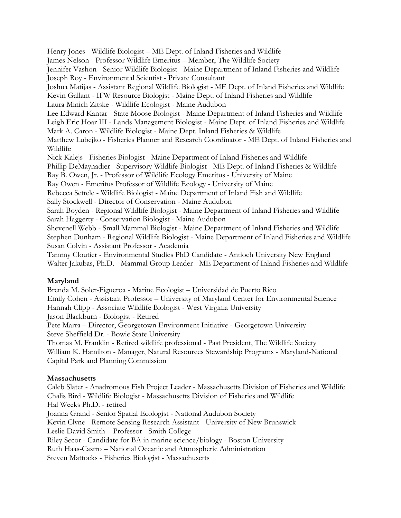Henry Jones - Wildlife Biologist – ME Dept. of Inland Fisheries and Wildlife James Nelson - Professor Wildlife Emeritus – Member, The Wildlife Society Jennifer Vashon - Senior Wildlife Biologist - Maine Department of Inland Fisheries and Wildlife Joseph Roy - Environmental Scientist - Private Consultant Joshua Matijas - Assistant Regional Wildlife Biologist - ME Dept. of Inland Fisheries and Wildlife Kevin Gallant - IFW Resource Biologist - Maine Dept. of Inland Fisheries and Wildlife Laura Minich Zitske - Wildlife Ecologist - Maine Audubon Lee Edward Kantar - State Moose Biologist - Maine Department of Inland Fisheries and Wildlife Leigh Eric Hoar III - Lands Management Biologist - Maine Dept. of Inland Fisheries and Wildlife Mark A. Caron - Wildlife Biologist - Maine Dept. Inland Fisheries & Wildlife Matthew Lubejko - Fisheries Planner and Research Coordinator - ME Dept. of Inland Fisheries and Wildlife Nick Kalejs - Fisheries Biologist - Maine Department of Inland Fisheries and Wildlife Phillip DeMaynadier - Supervisory Wildlife Biologist - ME Dept. of Inland Fisheries & Wildlife Ray B. Owen, Jr. - Professor of Wildlife Ecology Emeritus - University of Maine Ray Owen - Emeritus Professor of Wildlife Ecology - University of Maine Rebecca Settele - Wildlife Biologist - Maine Department of Inland Fish and Wildlife Sally Stockwell - Director of Conservation - Maine Audubon Sarah Boyden - Regional Wildlife Biologist - Maine Department of Inland Fisheries and Wildlife Sarah Haggerty - Conservation Biologist - Maine Audubon Shevenell Webb - Small Mammal Biologist - Maine Department of Inland Fisheries and Wildlife Stephen Dunham - Regional Wildlife Biologist - Maine Department of Inland Fisheries and Wildlife Susan Colvin - Assistant Professor - Academia Tammy Cloutier - Environmental Studies PhD Candidate - Antioch University New England Walter Jakubas, Ph.D. - Mammal Group Leader - ME Department of Inland Fisheries and Wildlife

# **Maryland**

Brenda M. Soler-Figueroa - Marine Ecologist – Universidad de Puerto Rico Emily Cohen - Assistant Professor – University of Maryland Center for Environmental Science Hannah Clipp - Associate Wildlife Biologist - West Virginia University Jason Blackburn - Biologist - Retired Pete Marra – Director, Georgetown Environment Initiative - Georgetown University Steve Sheffield Dr. - Bowie State University Thomas M. Franklin - Retired wildlife professional - Past President, The Wildlife Society William K. Hamilton - Manager, Natural Resources Stewardship Programs - Maryland-National Capital Park and Planning Commission

# **Massachusetts**

Caleb Slater - Anadromous Fish Project Leader - Massachusetts Division of Fisheries and Wildlife Chalis Bird - Wildlife Biologist - Massachusetts Division of Fisheries and Wildlife Hal Weeks Ph.D. - retired Joanna Grand - Senior Spatial Ecologist - National Audubon Society Kevin Clyne - Remote Sensing Research Assistant - University of New Brunswick Leslie David Smith – Professor - Smith College Riley Secor - Candidate for BA in marine science/biology - Boston University Ruth Haas-Castro – National Oceanic and Atmospheric Administration Steven Mattocks - Fisheries Biologist - Massachusetts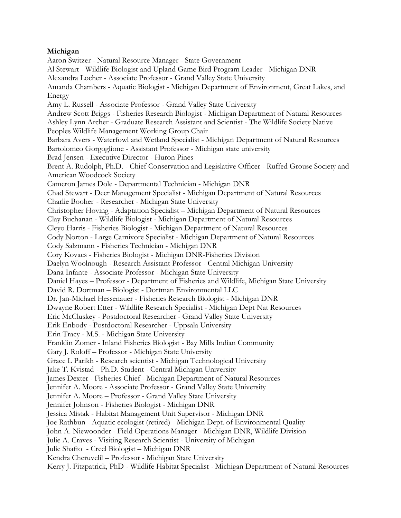## **Michigan**

Aaron Switzer - Natural Resource Manager - State Government Al Stewart - Wildlife Biologist and Upland Game Bird Program Leader - Michigan DNR Alexandra Locher - Associate Professor - Grand Valley State University Amanda Chambers - Aquatic Biologist - Michigan Department of Environment, Great Lakes, and Energy Amy L. Russell - Associate Professor - Grand Valley State University Andrew Scott Briggs - Fisheries Research Biologist - Michigan Department of Natural Resources Ashley Lynn Archer - Graduate Research Assistant and Scientist - The Wildlife Society Native Peoples Wildlife Management Working Group Chair Barbara Avers - Waterfowl and Wetland Specialist - Michigan Department of Natural Resources Bartolomeo Gorgoglione - Assistant Professor - Michigan state university Brad Jensen - Executive Director - Huron Pines Brent A. Rudolph, Ph.D. - Chief Conservation and Legislative Officer - Ruffed Grouse Society and American Woodcock Society Cameron James Dole - Departmental Technician - Michigan DNR Chad Stewart - Deer Management Specialist - Michigan Department of Natural Resources Charlie Booher - Researcher - Michigan State University Christopher Hoving - Adaptation Specialist – Michigan Department of Natural Resources Clay Buchanan - Wildlife Biologist - Michigan Department of Natural Resources Cleyo Harris - Fisheries Biologist - Michigan Department of Natural Resources Cody Norton - Large Carnivore Specialist - Michigan Department of Natural Resources Cody Salzmann - Fisheries Technician - Michigan DNR Cory Kovacs - Fisheries Biologist - Michigan DNR-Fisheries Division Daelyn Woolnough - Research Assistant Professor - Central Michigan University Dana Infante - Associate Professor - Michigan State University Daniel Hayes – Professor - Department of Fisheries and Wildlife, Michigan State University David R. Dortman – Biologist - Dortman Environmental LLC Dr. Jan-Michael Hessenauer - Fisheries Research Biologist - Michigan DNR Dwayne Robert Etter - Wildlife Research Specialist - Michigan Dept Nat Resources Eric McCluskey - Postdoctoral Researcher - Grand Valley State University Erik Enbody - Postdoctoral Researcher - Uppsala University Erin Tracy - M.S. - Michigan State University Franklin Zomer - Inland Fisheries Biologist - Bay Mills Indian Community Gary J. Roloff – Professor - Michigan State University Grace L Parikh - Research scientist - Michigan Technological University Jake T. Kvistad - Ph.D. Student - Central Michigan University James Dexter - Fisheries Chief - Michigan Department of Natural Resources Jennifer A. Moore - Associate Professor - Grand Valley State University Jennifer A. Moore – Professor - Grand Valley State University Jennifer Johnson - Fisheries Biologist - Michigan DNR Jessica Mistak - Habitat Management Unit Supervisor - Michigan DNR Joe Rathbun - Aquatic ecologist (retired) - Michigan Dept. of Environmental Quality John A. Niewoonder - Field Operations Manager - Michigan DNR, Wildlife Division Julie A. Craves - Visiting Research Scientist - University of Michigan Julie Shafto - Creel Biologist – Michigan DNR Kendra Cheruvelil – Professor - Michigan State University Kerry J. Fitzpatrick, PhD - Wildlife Habitat Specialist - Michigan Department of Natural Resources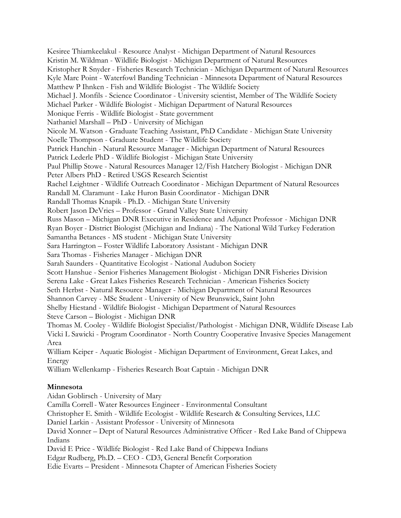Kesiree Thiamkeelakul - Resource Analyst - Michigan Department of Natural Resources Kristin M. Wildman - Wildlife Biologist - Michigan Department of Natural Resources Kristopher R Snyder - Fisheries Research Technician - Michigan Department of Natural Resources Kyle Marc Point - Waterfowl Banding Technician - Minnesota Department of Natural Resources Matthew P Ihnken - Fish and Wildlife Biologist - The Wildlife Society Michael J. Monfils - Science Coordinator - University scientist, Member of The Wildlife Society Michael Parker - Wildlife Biologist - Michigan Department of Natural Resources Monique Ferris - Wildlife Biologist - State government Nathaniel Marshall – PhD - University of Michigan Nicole M. Watson - Graduate Teaching Assistant, PhD Candidate - Michigan State University Noelle Thompson - Graduate Student - The Wildlife Society Patrick Hanchin - Natural Resource Manager - Michigan Department of Natural Resources Patrick Lederle PhD - Wildlife Biologist - Michigan State University Paul Phillip Stowe - Natural Resources Manager 12/Fish Hatchery Biologist - Michigan DNR Peter Albers PhD - Retired USGS Research Scientist Rachel Leightner - Wildlife Outreach Coordinator - Michigan Department of Natural Resources Randall M. Claramunt - Lake Huron Basin Coordinator - Michigan DNR Randall Thomas Knapik - Ph.D. - Michigan State University Robert Jason DeVries – Professor - Grand Valley State University Russ Mason – Michigan DNR Executive in Residence and Adjunct Professor - Michigan DNR Ryan Boyer - District Biologist (Michigan and Indiana) - The National Wild Turkey Federation Samantha Betances - MS student - Michigan State University Sara Harrington – Foster Wildlife Laboratory Assistant - Michigan DNR Sara Thomas - Fisheries Manager - Michigan DNR Sarah Saunders - Quantitative Ecologist - National Audubon Society Scott Hanshue - Senior Fisheries Management Biologist - Michigan DNR Fisheries Division Serena Lake - Great Lakes Fisheries Research Technician - American Fisheries Society Seth Herbst - Natural Resource Manager - Michigan Department of Natural Resources Shannon Carvey - MSc Student - University of New Brunswick, Saint John Shelby Hiestand - Wildlife Biologist - Michigan Department of Natural Resources Steve Carson – Biologist - Michigan DNR Thomas M. Cooley - Wildlife Biologist Specialist/Pathologist - Michigan DNR, Wildlife Disease Lab Vicki L Sawicki - Program Coordinator - North Country Cooperative Invasive Species Management Area William Keiper - Aquatic Biologist - Michigan Department of Environment, Great Lakes, and Energy William Wellenkamp - Fisheries Research Boat Captain - Michigan DNR **Minnesota** Aidan Goblirsch - University of Mary

Camilla Correll- Water Resources Engineer - Environmental Consultant Christopher E. Smith - Wildlife Ecologist - Wildlife Research & Consulting Services, LLC Daniel Larkin - Assistant Professor - University of Minnesota David Xonner – Dept of Natural Resources Administrative Officer - Red Lake Band of Chippewa Indians David E Price - Wildlife Biologist - Red Lake Band of Chippewa Indians Edgar Rudberg, Ph.D. – CEO - CD3, General Benefit Corporation Edie Evarts – President - Minnesota Chapter of American Fisheries Society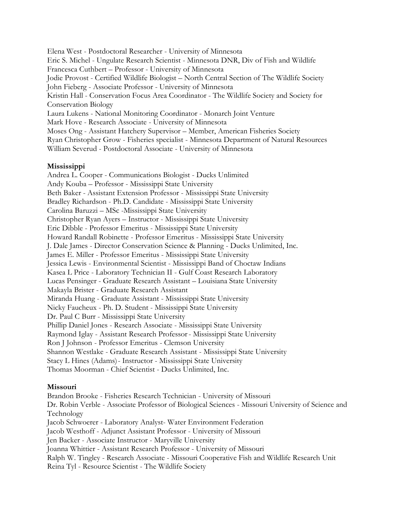Elena West - Postdoctoral Researcher - University of Minnesota Eric S. Michel - Ungulate Research Scientist - Minnesota DNR, Div of Fish and Wildlife Francesca Cuthbert – Professor - University of Minnesota Jodie Provost - Certified Wildlife Biologist – North Central Section of The Wildlife Society John Fieberg - Associate Professor - University of Minnesota Kristin Hall - Conservation Focus Area Coordinator - The Wildlife Society and Society for Conservation Biology Laura Lukens - National Monitoring Coordinator - Monarch Joint Venture Mark Hove - Research Associate - University of Minnesota Moses Ong - Assistant Hatchery Supervisor – Member, American Fisheries Society Ryan Christopher Grow - Fisheries specialist - Minnesota Department of Natural Resources William Severud - Postdoctoral Associate - University of Minnesota

#### **Mississippi**

Andrea L. Cooper - Communications Biologist - Ducks Unlimited Andy Kouba – Professor - Mississippi State University Beth Baker - Assistant Extension Professor - Mississippi State University Bradley Richardson - Ph.D. Candidate - Mississippi State University Carolina Baruzzi – MSc -Mississippi State University Christopher Ryan Ayers – Instructor - Mississippi State University Eric Dibble - Professor Emeritus - Mississippi State University Howard Randall Robinette - Professor Emeritus - Mississippi State University J. Dale James - Director Conservation Science & Planning - Ducks Unlimited, Inc. James E. Miller - Professor Emeritus - Mississippi State University Jessica Lewis - Environmental Scientist - Mississippi Band of Choctaw Indians Kasea L Price - Laboratory Technician II - Gulf Coast Research Laboratory Lucas Pensinger - Graduate Research Assistant – Louisiana State University Makayla Brister - Graduate Research Assistant Miranda Huang - Graduate Assistant - Mississippi State University Nicky Faucheux - Ph. D. Student - Mississippi State University Dr. Paul C Burr - Mississippi State University Phillip Daniel Jones - Research Associate - Mississippi State University Raymond Iglay - Assistant Research Professor- Mississippi State University Ron J Johnson - Professor Emeritus - Clemson University Shannon Westlake - Graduate Research Assistant - Mississippi State University Stacy L Hines (Adams)- Instructor - Mississippi State University Thomas Moorman - Chief Scientist - Ducks Unlimited, Inc.

## **Missouri**

Brandon Brooke - Fisheries Research Technician - University of Missouri Dr. Robin Verble - Associate Professor of Biological Sciences - Missouri University of Science and Technology Jacob Schwoerer - Laboratory Analyst- Water Environment Federation Jacob Westhoff - Adjunct Assistant Professor - University of Missouri Jen Backer - Associate Instructor - Maryville University Joanna Whittier - Assistant Research Professor - University of Missouri Ralph W. Tingley - Research Associate - Missouri Cooperative Fish and Wildlife Research Unit Reina Tyl - Resource Scientist - The Wildlife Society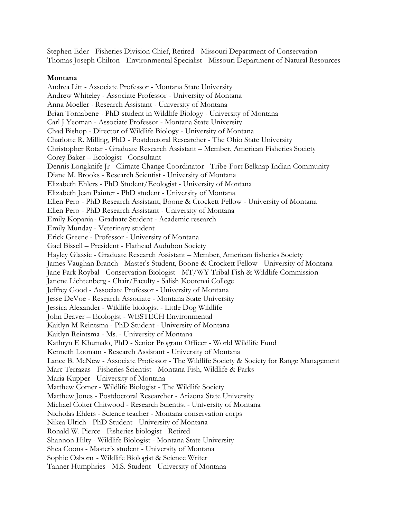Stephen Eder - Fisheries Division Chief, Retired - Missouri Department of Conservation Thomas Joseph Chilton - Environmental Specialist - Missouri Department of Natural Resources

#### **Montana**

Andrea Litt - Associate Professor - Montana State University Andrew Whiteley - Associate Professor - University of Montana Anna Moeller - Research Assistant - University of Montana Brian Tornabene - PhD student in Wildlife Biology - University of Montana Carl J Yeoman - Associate Professor - Montana State University Chad Bishop - Director of Wildlife Biology - University of Montana Charlotte R. Milling, PhD - Postdoctoral Researcher - The Ohio State University Christopher Rotar - Graduate Research Assistant – Member, American Fisheries Society Corey Baker – Ecologist - Consultant Dennis Longknife Jr - Climate Change Coordinator - Tribe-Fort Belknap Indian Community Diane M. Brooks - Research Scientist - University of Montana Elizabeth Ehlers - PhD Student/Ecologist - University of Montana Elizabeth Jean Painter - PhD student - University of Montana Ellen Pero - PhD Research Assistant, Boone & Crockett Fellow - University of Montana Ellen Pero - PhD Research Assistant - University of Montana Emily Kopania - Graduate Student - Academic research Emily Munday - Veterinary student Erick Greene - Professor - University of Montana Gael Bissell – President - Flathead Audubon Society Hayley Glassic - Graduate Research Assistant – Member, American fisheries Society James Vaughan Branch - Master's Student, Boone & Crockett Fellow - University of Montana Jane Park Roybal - Conservation Biologist - MT/WY Tribal Fish & Wildlife Commission Janene Lichtenberg - Chair/Faculty - Salish Kootenai College Jeffrey Good - Associate Professor - University of Montana Jesse DeVoe - Research Associate - Montana State University Jessica Alexander - Wildlife biologist - Little Dog Wildlife John Beaver – Ecologist - WESTECH Environmental Kaitlyn M Reintsma - PhD Student - University of Montana Kaitlyn Reintsma - Ms. - University of Montana Kathryn E Khumalo, PhD - Senior Program Officer - World Wildlife Fund Kenneth Loonam - Research Assistant - University of Montana Lance B. McNew - Associate Professor - The Wildlife Society & Society for Range Management Marc Terrazas - Fisheries Scientist - Montana Fish, Wildlife & Parks Maria Kupper - University of Montana Matthew Comer - Wildlife Biologist - The Wildlife Society Matthew Jones - Postdoctoral Researcher - Arizona State University Michael Colter Chitwood - Research Scientist - University of Montana Nicholas Ehlers - Science teacher - Montana conservation corps Nikea Ulrich - PhD Student - University of Montana Ronald W. Pierce - Fisheries biologist - Retired Shannon Hilty - Wildlife Biologist - Montana State University Shea Coons - Master's student - University of Montana Sophie Osborn - Wildlife Biologist & Science Writer Tanner Humphries - M.S. Student - University of Montana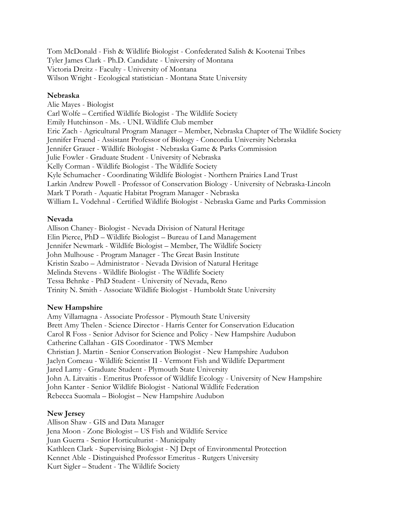Tom McDonald - Fish & Wildlife Biologist - Confederated Salish & Kootenai Tribes Tyler James Clark - Ph.D. Candidate - University of Montana Victoria Dreitz - Faculty - University of Montana Wilson Wright - Ecological statistician - Montana State University

#### **Nebraska**

Alie Mayes - Biologist Carl Wolfe – Certified Wildlife Biologist - The Wildlife Society Emily Hutchinson - Ms. - UNL Wildlife Club member Eric Zach - Agricultural Program Manager – Member, Nebraska Chapter of The Wildlife Society Jennifer Fruend - Assistant Professor of Biology - Concordia University Nebraska Jennifer Grauer - Wildlife Biologist - Nebraska Game & Parks Commission Julie Fowler - Graduate Student - University of Nebraska Kelly Corman - Wildlife Biologist - The Wildlife Society Kyle Schumacher - Coordinating Wildlife Biologist - Northern Prairies Land Trust Larkin Andrew Powell - Professor of Conservation Biology - University of Nebraska-Lincoln Mark T Porath - Aquatic Habitat Program Manager - Nebraska William L. Vodehnal - Certified Wildlife Biologist - Nebraska Game and Parks Commission

#### **Nevada**

Allison Chaney - Biologist - Nevada Division of Natural Heritage Elin Pierce, PhD – Wildlife Biologist – Bureau of Land Management Jennifer Newmark - Wildlife Biologist – Member, The Wildlife Society John Mulhouse - Program Manager - The Great Basin Institute Kristin Szabo – Administrator - Nevada Division of Natural Heritage Melinda Stevens - Wildlife Biologist - The Wildlife Society Tessa Behnke - PhD Student - University of Nevada, Reno Trinity N. Smith - Associate Wildlife Biologist - Humboldt State University

## **New Hampshire**

Amy Villamagna - Associate Professor - Plymouth State University Brett Amy Thelen - Science Director - Harris Center for Conservation Education Carol R Foss - Senior Advisor for Science and Policy - New Hampshire Audubon Catherine Callahan - GIS Coordinator - TWS Member Christian J. Martin - Senior Conservation Biologist - New Hampshire Audubon Jaclyn Comeau - Wildlife Scientist II - Vermont Fish and Wildlife Department Jared Lamy - Graduate Student - Plymouth State University John A. Litvaitis - Emeritus Professor of Wildlife Ecology - University of New Hampshire John Kanter - Senior Wildlife Biologist - National Wildlife Federation Rebecca Suomala – Biologist – New Hampshire Audubon

#### **New Jersey**

Allison Shaw - GIS and Data Manager Jena Moon - Zone Biologist – US Fish and Wildlife Service Juan Guerra - Senior Horticulturist - Municipalty Kathleen Clark - Supervising Biologist - NJ Dept of Environmental Protection Kennet Able - Distinguished Professor Emeritus - Rutgers University Kurt Sigler – Student - The Wildlife Society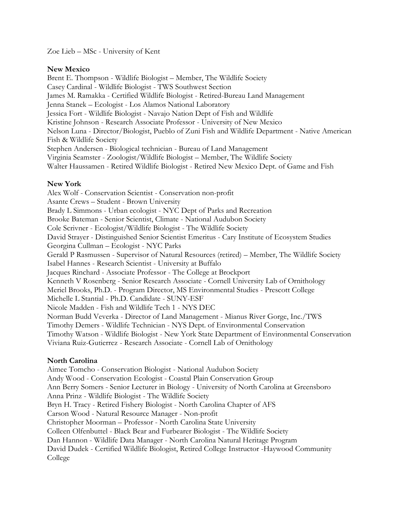Zoe Lieb – MSc - University of Kent

#### **New Mexico**

Brent E. Thompson - Wildlife Biologist – Member, The Wildlife Society Casey Cardinal - Wildlife Biologist - TWS Southwest Section James M. Ramakka - Certified Wildlife Biologist - Retired-Bureau Land Management Jenna Stanek – Ecologist - Los Alamos National Laboratory Jessica Fort - Wildlife Biologist - Navajo Nation Dept of Fish and Wildlife Kristine Johnson - Research Associate Professor - University of New Mexico Nelson Luna - Director/Biologist, Pueblo of Zuni Fish and Wildlife Department - Native American Fish & Wildlife Society Stephen Andersen - Biological technician - Bureau of Land Management Virginia Seamster - Zoologist/Wildlife Biologist – Member, The Wildlife Society Walter Haussamen - Retired Wildlife Biologist - Retired New Mexico Dept. of Game and Fish

## **New York**

Alex Wolf - Conservation Scientist - Conservation non-profit Asante Crews – Student - Brown University Brady L Simmons - Urban ecologist - NYC Dept of Parks and Recreation Brooke Bateman - Senior Scientist, Climate - National Audubon Society Cole Scrivner - Ecologist/Wildlife Biologist - The Wildlife Society David Strayer - Distinguished Senior Scientist Emeritus - Cary Institute of Ecosystem Studies Georgina Cullman – Ecologist - NYC Parks Gerald P Rasmussen - Supervisor of Natural Resources (retired) – Member, The Wildlife Society Isabel Hannes - Research Scientist - University at Buffalo Jacques Rinchard - Associate Professor - The College at Brockport Kenneth V Rosenberg - Senior Research Associate - Cornell University Lab of Ornithology Meriel Brooks, Ph.D. - Program Director, MS Environmental Studies - Prescott College Michelle L Stantial - Ph.D. Candidate - SUNY-ESF Nicole Madden - Fish and Wildlife Tech 1 - NYS DEC Norman Budd Veverka - Director of Land Management - Mianus River Gorge, Inc./TWS Timothy Demers - Wildlife Technician - NYS Dept. of Environmental Conservation Timothy Watson - Wildlife Biologist - New York State Department of Environmental Conservation Viviana Ruiz-Gutierrez - Research Associate - Cornell Lab of Ornithology

## **North Carolina**

Aimee Tomcho - Conservation Biologist - National Audubon Society Andy Wood - Conservation Ecologist - Coastal Plain Conservation Group Ann Berry Somers - Senior Lecturer in Biology - University of North Carolina at Greensboro Anna Prinz - Wildlife Biologist - The Wildlife Society Bryn H. Tracy - Retired Fishery Biologist - North Carolina Chapter of AFS Carson Wood - Natural Resource Manager - Non-profit Christopher Moorman – Professor - North Carolina State University Colleen Olfenbuttel - Black Bear and Furbearer Biologist - The Wildlife Society Dan Hannon - Wildlife Data Manager - North Carolina Natural Heritage Program David Dudek - Certified Wildlife Biologist, Retired College Instructor -Haywood Community College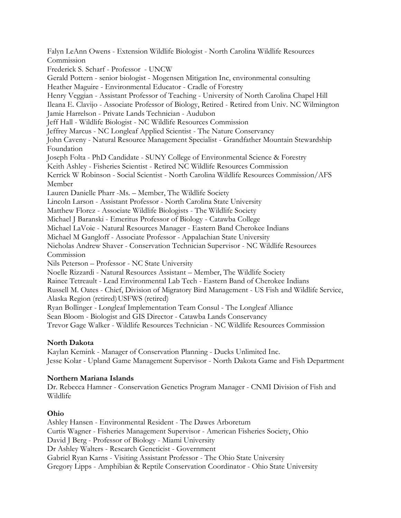Falyn LeAnn Owens - Extension Wildlife Biologist - North Carolina Wildlife Resources Commission Frederick S. Scharf - Professor - UNCW Gerald Pottern - senior biologist - Mogensen Mitigation Inc, environmental consulting Heather Maguire - Environmental Educator - Cradle of Forestry Henry Veggian - Assistant Professor of Teaching - University of North Carolina Chapel Hill Ileana E. Clavijo - Associate Professor of Biology, Retired - Retired from Univ. NC Wilmington Jamie Harrelson - Private Lands Technician - Audubon Jeff Hall - Wildlife Biologist - NC Wildlife Resources Commission Jeffrey Marcus - NC Longleaf Applied Scientist - The Nature Conservancy John Caveny - Natural Resource Management Specialist - Grandfather Mountain Stewardship Foundation Joseph Folta - PhD Candidate - SUNY College of Environmental Science & Forestry Keith Ashley - Fisheries Scientist - Retired NC Wildlife Resources Commission Kerrick W Robinson - Social Scientist - North Carolina Wildlife Resources Commission/AFS Member Lauren Danielle Pharr -Ms. – Member, The Wildlife Society Lincoln Larson - Assistant Professor - North Carolina State University Matthew Florez - Associate Wildlife Biologists - The Wildlife Society Michael J Baranski - Emeritus Professor of Biology - Catawba College Michael LaVoie - Natural Resources Manager - Eastern Band Cherokee Indians Michael M Gangloff - Associate Professor - Appalachian State University Nicholas Andrew Shaver - Conservation Technician Supervisor - NC Wildlife Resources Commission Nils Peterson – Professor - NC State University Noelle Rizzardi - Natural Resources Assistant – Member, The Wildlife Society Rainee Tetreault - Lead Environmental Lab Tech - Eastern Band of Cherokee Indians Russell M. Oates - Chief, Division of Migratory Bird Management - US Fish and Wildlife Service, Alaska Region (retired) USFWS (retired) Ryan Bollinger - Longleaf Implementation Team Consul - The Longleaf Alliance Sean Bloom - Biologist and GIS Director - Catawba Lands Conservancy Trevor Gage Walker - Wildlife Resources Technician - NC Wildlife Resources Commission

# **North Dakota**

Kaylan Kemink - Manager of Conservation Planning - Ducks Unlimited Inc. Jesse Kolar - Upland Game Management Supervisor - North Dakota Game and Fish Department

## **Northern Mariana Islands**

Dr. Rebecca Hamner - Conservation Genetics Program Manager - CNMI Division of Fish and Wildlife

## **Ohio**

Ashley Hansen - Environmental Resident - The Dawes Arboretum Curtis Wagner - Fisheries Management Supervisor - American Fisheries Society, Ohio David J Berg - Professor of Biology - Miami University Dr Ashley Walters - Research Geneticist - Government Gabriel Ryan Karns - Visiting Assistant Professor - The Ohio State University Gregory Lipps - Amphibian & Reptile Conservation Coordinator - Ohio State University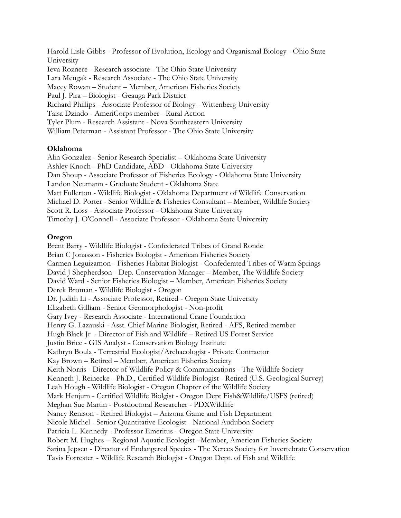Harold Lisle Gibbs - Professor of Evolution, Ecology and Organismal Biology - Ohio State University Ieva Roznere - Research associate - The Ohio State University Lara Mengak - Research Associate - The Ohio State University Macey Rowan – Student – Member, American Fisheries Society Paul J. Pira – Biologist - Geauga Park District Richard Phillips - Associate Professor of Biology - Wittenberg University Taisa Dzindo - AmeriCorps member - Rural Action Tyler Plum - Research Assistant - Nova Southeastern University William Peterman - Assistant Professor - The Ohio State University

#### **Oklahoma**

Alin Gonzalez - Senior Research Specialist – Oklahoma State University Ashley Knoch - PhD Candidate, ABD - Oklahoma State University Dan Shoup - Associate Professor of Fisheries Ecology - Oklahoma State University Landon Neumann - Graduate Student - Oklahoma State Matt Fullerton - Wildlife Biologist - Oklahoma Department of Wildlife Conservation Michael D. Porter - Senior Wildlife & Fisheries Consultant – Member, Wildlife Society Scott R. Loss - Associate Professor - Oklahoma State University Timothy J. O'Connell - Associate Professor - Oklahoma State University

#### **Oregon**

Brent Barry - Wildlife Biologist - Confederated Tribes of Grand Ronde Brian C Jonasson - Fisheries Biologist - American Fisheries Society Carmen Leguizamon - Fisheries Habitat Biologist - Confederated Tribes of Warm Springs David J Shepherdson - Dep. Conservation Manager – Member, The Wildlife Society David Ward - Senior Fisheries Biologist – Member, American Fisheries Society Derek Broman - Wildlife Biologist - Oregon Dr. Judith Li - Associate Professor, Retired - Oregon State University Elizabeth Gilliam - Senior Geomorphologist - Non-profit Gary Ivey - Research Associate - International Crane Foundation Henry G. Lazauski - Asst. Chief Marine Biologist, Retired - AFS, Retired member Hugh Black Jr - Director of Fish and Wildlife – Retired US Forest Service Justin Brice - GIS Analyst - Conservation Biology Institute Kathryn Boula - Terrestrial Ecologist/Archaeologist - Private Contractor Kay Brown – Retired – Member, American Fisheries Society Keith Norris - Director of Wildlife Policy & Communications - The Wildlife Society Kenneth J. Reinecke - Ph.D., Certified Wildlife Biologist - Retired (U.S. Geological Survey) Leah Hough - Wildlife Biologist - Oregon Chapter of the Wildlife Society Mark Henjum - Certified Wildlife Biolgist - Oregon Dept Fish&Wildlife/USFS (retired) Meghan Sue Martin - Postdoctoral Researcher - PDXWildlife Nancy Renison - Retired Biologist – Arizona Game and Fish Department Nicole Michel - Senior Quantitative Ecologist - National Audubon Society Patricia L. Kennedy - Professor Emeritus - Oregon State University Robert M. Hughes – Regional Aquatic Ecologist –Member, American Fisheries Society Sarina Jepsen - Director of Endangered Species - The Xerces Society for Invertebrate Conservation Tavis Forrester - Wildlife Research Biologist - Oregon Dept. of Fish and Wildlife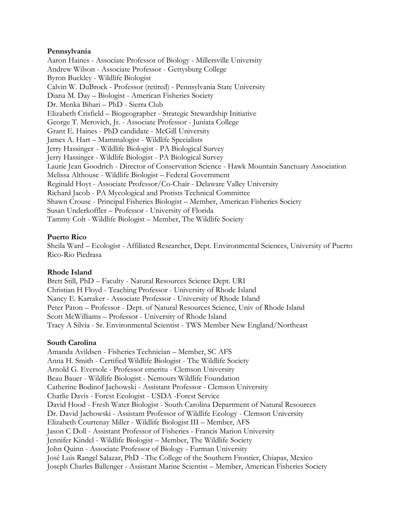#### **Pennsylvania**

Aaron Haines - Associate Professor of Biology - Millersville University Andrew Wilson - Associate Professor - Gettysburg College Byron Buckley - Wildlife Biologist Calvin W. DuBrock - Professor (retired) - Pennsylvania State University Diana M. Day – Biologist - American Fisheries Society Dr. Menka Bihari – PhD - Sierra Club Elizabeth Crisfield – Biogeographer - Strategic Stewardship Initiative George T. Merovich, Jr. - Associate Professor - Juniata College Grant E. Haines - PhD candidate - McGill University James A. Hart – Mammalogist - Wildlife Specialists Jerry Hassinger - Wildlife Biologist - PA Biological Survey Jerry Hassinger - Wildlife Biologist - PA Biological Survey Laurie Jean Goodrich - Director of Conservation Science - Hawk Mountain Sanctuary Association Melissa Althouse - Wildlife Biologist – Federal Government Reginald Hoyt - Associate Professor/Co-Chair - Delaware Valley University Richard Jacob - PA Mycological and Protists Technical Committee Shawn Crouse - Principal Fisheries Biologist – Member, American Fisheries Society Susan Underkoffler – Professor - University of Florida Tammy Colt - Wildlife Biologist – Member, The Wildlife Society

#### **Puerto Rico**

Sheila Ward – Ecologist - Affiliated Researcher, Dept. Environmental Sciences, University of Puerto Rico-Rio Piedrasa

#### **Rhode Island**

Brett Still, PhD – Faculty - Natural Resources Science Dept. URI Christian H Floyd - Teaching Professor - University of Rhode Island Nancy E. Karraker - Associate Professor - University of Rhode Island Peter Paton – Professor - Dept. of Natural Resources Science, Univ of Rhode Island Scott McWilliams – Professor - University of Rhode Island Tracy A Silvia - Sr. Environmental Scientist - TWS Member New England/Northeast

#### **South Carolina**

Amanda Avildsen - Fisheries Technician – Member, SC AFS Anna H. Smith - Certified Wildlife Biologist - The Wildlife Society Arnold G. Eversole - Professor emeritu - Clemson University Beau Bauer - Wildlife Biologist - Nemours Wildlife Foundation Catherine Bodinof Jachowski - Assistant Professor - Clemson University Charlie Davis - Forest Ecologist - USDA -Forest Service David Hood - Fresh Water Biologist - South Carolina Department of Natural Resources Dr. David Jachowski - Assistant Professor of Wildlife Ecology - Clemson University Elizabeth Courtenay Miller - Wildlife Biologist III – Member, AFS Jason C Doll - Assistant Professor of Fisheries - Francis Marion University Jennifer Kindel - Wildlife Biologist – Member, The Wildlife Society John Quinn - Associate Professor of Biology - Furman University José Luis Rangel Salazar, PhD - The College of the Southern Frontier, Chiapas, Mexico Joseph Charles Ballenger - Assistant Marine Scientist – Member, American Fisheries Society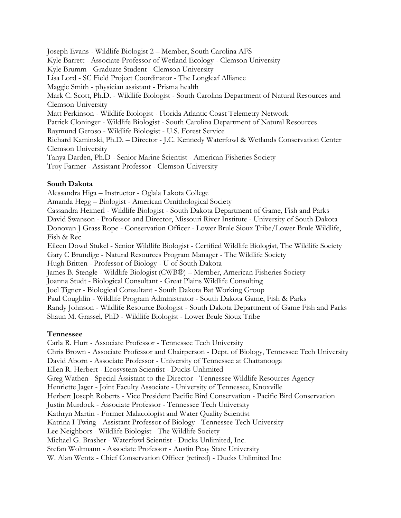Joseph Evans - Wildlife Biologist 2 – Member, South Carolina AFS Kyle Barrett - Associate Professor of Wetland Ecology - Clemson University Kyle Brumm - Graduate Student - Clemson University Lisa Lord - SC Field Project Coordinator - The Longleaf Alliance Maggie Smith - physician assistant - Prisma health Mark C. Scott, Ph.D. - Wildlife Biologist - South Carolina Department of Natural Resources and Clemson University Matt Perkinson - Wildlife Biologist - Florida Atlantic Coast Telemetry Network Patrick Cloninger - Wildlife Biologist - South Carolina Department of Natural Resources Raymund Geroso - Wildlife Biologist - U.S. Forest Service Richard Kaminski, Ph.D. – Director - J.C. Kennedy Waterfowl & Wetlands Conservation Center Clemson University Tanya Darden, Ph.D - Senior Marine Scientist - American Fisheries Society Troy Farmer - Assistant Professor - Clemson University

## **South Dakota**

Alessandra Higa – Instructor - Oglala Lakota College Amanda Hegg – Biologist - American Ornithological Society Cassandra Heimerl - Wildlife Biologist - South Dakota Department of Game, Fish and Parks David Swanson - Professor and Director, Missouri River Institute - University of South Dakota Donovan J Grass Rope - Conservation Officer - Lower Brule Sioux Tribe/Lower Brule Wildlife, Fish & Rec Eileen Dowd Stukel - Senior Wildlife Biologist - Certified Wildlife Biologist, The Wildlife Society Gary C Brundige - Natural Resources Program Manager - The Wildlife Society Hugh Britten - Professor of Biology - U of South Dakota James B. Stengle - Wildlife Biologist (CWB®) – Member, American Fisheries Society Joanna Studt - Biological Consultant - Great Plains Wildlife Consulting Joel Tigner - Biological Consultant - South Dakota Bat Working Group Paul Coughlin - Wildlife Program Administrator - South Dakota Game, Fish & Parks Randy Johnson - Wildlife Resource Biologist - South Dakota Department of Game Fish and Parks Shaun M. Grassel, PhD - Wildlife Biologist - Lower Brule Sioux Tribe

## **Tennessee**

Carla R. Hurt - Associate Professor - Tennessee Tech University Chris Brown - Associate Professor and Chairperson - Dept. of Biology, Tennessee Tech University David Aborn - Associate Professor - University of Tennessee at Chattanooga Ellen R. Herbert - Ecosystem Scientist - Ducks Unlimited Greg Wathen - Special Assistant to the Director - Tennessee Wildlife Resources Agency Henriette Jager - Joint Faculty Associate - University of Tennessee, Knoxville Herbert Joseph Roberts - Vice President Pacific Bird Conservation - Pacific Bird Conservation Justin Murdock - Associate Professor - Tennessee Tech University Kathryn Martin - Former Malacologist and Water Quality Scientist Katrina I Twing - Assistant Professor of Biology - Tennessee Tech University Lee Neighbors - Wildlife Biologist - The Wildlife Society Michael G. Brasher - Waterfowl Scientist - Ducks Unlimited, Inc. Stefan Woltmann - Associate Professor - Austin Peay State University W. Alan Wentz - Chief Conservation Officer (retired) - Ducks Unlimited Inc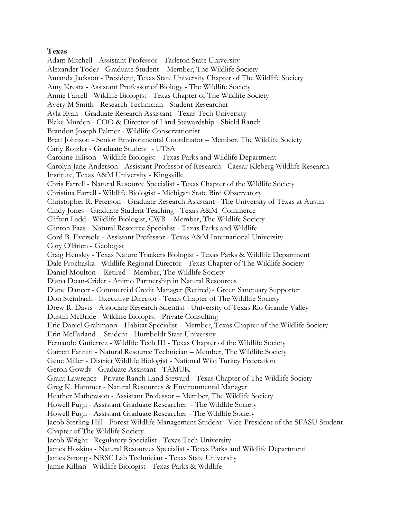#### **Texas**

Adam Mitchell - Assistant Professor - Tarleton State University Alexander Toder - Graduate Student – Member, The Wildlife Society Amanda Jackson - President, Texas State University Chapter of The Wildlife Society Amy Kresta - Assistant Professor of Biology - The Wildlife Society Annie Farrell - Wildlife Biologist - Texas Chapter of The Wildlife Society Avery M Smith - Research Technician - Student Researcher Ayla Ryan - Graduate Research Assistant - Texas Tech University Blake Murden - COO & Director of Land Stewardship - Shield Ranch Brandon Joseph Palmer - Wildlife Conservationist Brett Johnson - Senior Environmental Coordinator – Member, The Wildlife Society Carly Rotzler - Graduate Student - UTSA Caroline Ellison - Wildlife Biologist - Texas Parks and Wildlife Department Carolyn Jane Anderson - Assistant Professor of Research - Caesar Kleberg Wildlife Research Institute, Texas A&M University - Kingsville Chris Farrell - Natural Resource Specialist - Texas Chapter of the Wildlife Society Christina Farrell - Wildlife Biologist - Michigan State Bird Observatory Christopher R. Peterson - Graduate Research Assistant - The University of Texas at Austin Cindy Jones - Graduate Student Teaching - Texas A&M- Commerce Clifton Ladd - Wildlife Biologist, CWB – Member, The Wildlife Society Clinton Faas - Natural Resource Specialist - Texas Parks and Wildlife Cord B. Eversole - Assistant Professor - Texas A&M International University Cory O'Brien - Geologist Craig Hensley - Texas Nature Trackers Biologist - Texas Parks & Wildlife Department Dale Prochaska - Wildlife Regional Director - Texas Chapter of The Wildlife Society Daniel Moulton – Retired – Member, The Wildlife Society Diana Doan-Crider - Animo Partnership in Natural Resources Diane Dancer - Commercial Credit Manager (Retired)- Green Sanctuary Supporter Don Steinbach - Executive Director - Texas Chapter of The Wildlife Society Drew R. Davis - Associate Research Scientist - University of Texas Rio Grande Valley Dustin McBride - Wildlife Biologist - Private Consulting Eric Daniel Grahmann - Habitat Specialist – Member, Texas Chapter of the Wildlife Society Erin McFarland - Student - Humboldt State University Fernando Gutierrez - Wildlife Tech III - Texas Chapter of the Wildlife Society Garrett Fannin - Natural Resource Technician – Member, The Wildlife Society Gene Miller - District Wildlife Biologist - National Wild Turkey Federation Geron Gowdy - Graduate Assistant - TAMUK Grant Lawrence - Private Ranch Land Steward - Texas Chapter of The Wildlife Society Greg K. Hammer - Natural Resources & Environmental Manager Heather Mathewson - Assistant Professor – Member, The Wildlife Society Howell Pugh - Assistant Graduate Researcher - The Wildlife Society Howell Pugh - Assistant Graduate Researcher - The Wildlife Society Jacob Sterling Hill - Forest-Wildlife Management Student - Vice-President of the SFASU Student Chapter of The Wildlife Society Jacob Wright - Regulatory Specialist - Texas Tech University James Hoskins - Natural Resources Specialist - Texas Parks and Wildlife Department James Strong - NRSC Lab Technician - Texas State University Jamie Killian - Wildlife Biologist - Texas Parks & Wildlife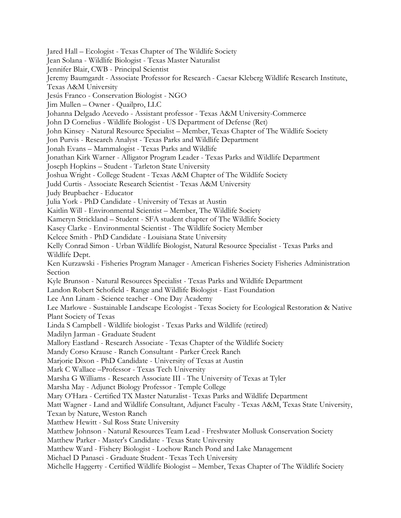Jared Hall – Ecologist - Texas Chapter of The Wildlife Society Jean Solana - Wildlife Biologist - Texas Master Naturalist Jennifer Blair, CWB - Principal Scientist Jeremy Baumgardt - Associate Professor for Research - Caesar Kleberg Wildlife Research Institute, Texas A&M University Jesús Franco - Conservation Biologist - NGO Jim Mullen – Owner - Quailpro, LLC Johanna Delgado Acevedo - Assistant professor - Texas A&M University-Commerce John D Cornelius - Wildlife Biologist - US Department of Defense (Ret) John Kinsey - Natural Resource Specialist – Member, Texas Chapter of The Wildlife Society Jon Purvis - Research Analyst - Texas Parks and Wildlife Department Jonah Evans – Mammalogist - Texas Parks and Wildlife Jonathan Kirk Warner - Alligator Program Leader - Texas Parks and Wildlife Department Joseph Hopkins – Student - Tarleton State University Joshua Wright - College Student - Texas A&M Chapter of The Wildlife Society Judd Curtis - Associate Research Scientist - Texas A&M University Judy Brupbacher - Educator Julia York - PhD Candidate - University of Texas at Austin Kaitlin Will - Environmental Scientist – Member, The Wildlife Society Kameryn Strickland – Student - SFA student chapter of The Wildlife Society Kasey Clarke - Environmental Scientist - The Wildlife Society Member Kelcee Smith - PhD Candidate - Louisiana State University Kelly Conrad Simon - Urban Wildlife Biologist, Natural Resource Specialist - Texas Parks and Wildlife Dept. Ken Kurzawski - Fisheries Program Manager - American Fisheries Society Fisheries Administration Section Kyle Brunson - Natural Resources Specialist - Texas Parks and Wildlife Department Landon Robert Schofield - Range and Wildlife Biologist - East Foundation Lee Ann Linam - Science teacher - One Day Academy Lee Marlowe - Sustainable Landscape Ecologist - Texas Society for Ecological Restoration & Native Plant Society of Texas Linda S Campbell - Wildlife biologist - Texas Parks and Wildlife (retired) Madilyn Jarman - Graduate Student Mallory Eastland - Research Associate - Texas Chapter of the Wildlife Society Mandy Corso Krause - Ranch Consultant - Parker Creek Ranch Marjorie Dixon - PhD Candidate - University of Texas at Austin Mark C Wallace –Professor - Texas Tech University Marsha G Williams - Research Associate III - The University of Texas at Tyler Marsha May - Adjunct Biology Professor - Temple College Mary O'Hara - Certified TX Master Naturalist- Texas Parks and Wildlife Department Matt Wagner - Land and Wildlife Consultant, Adjunct Faculty - Texas A&M, Texas State University, Texan by Nature, Weston Ranch Matthew Hewitt - Sul Ross State University Matthew Johnson - Natural Resources Team Lead - Freshwater Mollusk Conservation Society Matthew Parker - Master's Candidate - Texas State University Matthew Ward - Fishery Biologist - Lochow Ranch Pond and Lake Management Michael D Panasci - Graduate Student- Texas Tech University Michelle Haggerty - Certified Wildlife Biologist – Member, Texas Chapter of The Wildlife Society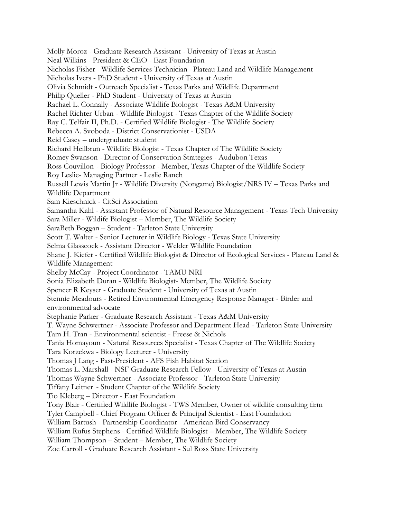Molly Moroz - Graduate Research Assistant - University of Texas at Austin Neal Wilkins - President & CEO - East Foundation Nicholas Fisher - Wildlife Services Technician - Plateau Land and Wildlife Management Nicholas Ivers - PhD Student - University of Texas at Austin Olivia Schmidt - Outreach Specialist - Texas Parks and Wildlife Department Philip Queller - PhD Student - University of Texas at Austin Rachael L. Connally - Associate Wildlife Biologist - Texas A&M University Rachel Richter Urban - Wildlife Biologist - Texas Chapter of the Wildlife Society Ray C. Telfair II, Ph.D. - Certified Wildlife Biologist - The Wildlife Society Rebecca A. Svoboda - District Conservationist - USDA Reid Casey – undergraduate student Richard Heilbrun - Wildlife Biologist - Texas Chapter of The Wildlife Society Romey Swanson - Director of Conservation Strategies - Audubon Texas Ross Couvillon - Biology Professor - Member, Texas Chapter of the Wildlife Society Roy Leslie- Managing Partner - Leslie Ranch Russell Lewis Martin Jr - Wildlife Diversity (Nongame) Biologist/NRS IV – Texas Parks and Wildlife Department Sam Kieschnick - CitSci Association Samantha Kahl - Assistant Professor of Natural Resource Management - Texas Tech University Sara Miller - Wildife Biologist – Member, The Wildlife Society SaraBeth Boggan – Student - Tarleton State University Scott T. Walter - Senior Lecturer in Wildlife Biology - Texas State University Selma Glasscock - Assistant Director - Welder Wildlife Foundation Shane J. Kiefer - Certified Wildlife Biologist & Director of Ecological Services - Plateau Land & Wildlife Management Shelby McCay - Project Coordinator - TAMU NRI Sonia Elizabeth Duran - Wildlife Biologist- Member, The Wildlife Society Spencer R Keyser - Graduate Student - University of Texas at Austin Stennie Meadours - Retired Environmental Emergency Response Manager - Birder and environmental advocate Stephanie Parker - Graduate Research Assistant - Texas A&M University T. Wayne Schwertner - Associate Professor and Department Head - Tarleton State University Tam H. Tran - Environmental scientist - Freese & Nichols Tania Homayoun - Natural Resources Specialist - Texas Chapter of The Wildlife Society Tara Korzekwa - Biology Lecturer - University Thomas J Lang - Past-President - AFS Fish Habitat Section Thomas L. Marshall - NSF Graduate Research Fellow - University of Texas at Austin Thomas Wayne Schwertner - Associate Professor - Tarleton State University Tiffany Leitner - Student Chapter of the Wildlife Society Tio Kleberg – Director - East Foundation Tony Blair - Certified Wildlife Biologist - TWS Member, Owner of wildlife consulting firm Tyler Campbell - Chief Program Officer & Principal Scientist - East Foundation William Bartush - Partnership Coordinator - American Bird Conservancy William Rufus Stephens - Certified Wildlife Biologist – Member, The Wildlife Society William Thompson – Student – Member, The Wildlife Society Zoe Carroll - Graduate Research Assistant - Sul Ross State University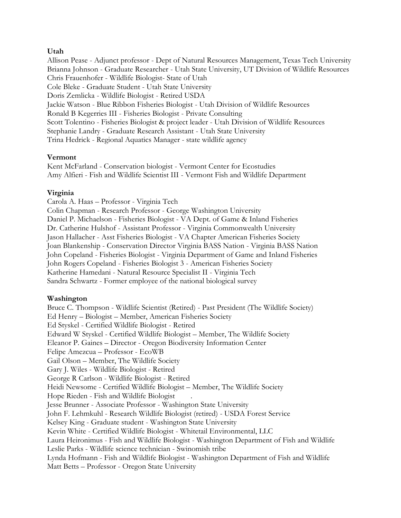## **Utah**

Allison Pease - Adjunct professor - Dept of Natural Resources Management, Texas Tech University Brianna Johnson - Graduate Researcher - Utah State University, UT Division of Wildlife Resources Chris Frauenhofer - Wildlife Biologist- State of Utah Cole Bleke - Graduate Student - Utah State University Doris Zemlicka - Wildlife Biologist - Retired USDA Jackie Watson - Blue Ribbon Fisheries Biologist - Utah Division of Wildlife Resources Ronald B Kegerries III - Fisheries Biologist - Private Consulting Scott Tolentino - Fisheries Biologist & project leader - Utah Division of Wildlife Resources Stephanie Landry - Graduate Research Assistant - Utah State University Trina Hedrick - Regional Aquatics Manager - state wildlife agency

#### **Vermont**

Kent McFarland - Conservation biologist - Vermont Center for Ecostudies Amy Alfieri - Fish and Wildlife Scientist III - Vermont Fish and Wildlife Department

## **Virginia**

Carola A. Haas – Professor - Virginia Tech Colin Chapman - Research Professor - George Washington University Daniel P. Michaelson - Fisheries Biologist - VA Dept. of Game & Inland Fisheries Dr. Catherine Hulshof - Assistant Professor - Virginia Commonwealth University Jason Hallacher - Asst Fisheries Biologist - VA Chapter American Fisheries Society Joan Blankenship - Conservation Director Virginia BASS Nation - Virginia BASS Nation John Copeland - Fisheries Biologist - Virginia Department of Game and Inland Fisheries John Rogers Copeland - Fisheries Biologist 3 - American Fisheries Society Katherine Hamedani - Natural Resource Specialist II - Virginia Tech Sandra Schwartz - Former employee of the national biological survey

## **Washington**

Bruce C. Thompson - Wildlife Scientist (Retired) - Past President (The Wildlife Society) Ed Henry – Biologist – Member, American Fisheries Society Ed Styskel - Certified Wildlife Biologist - Retired Edward W Styskel - Certified Wildlife Biologist – Member, The Wildlife Society Eleanor P. Gaines – Director - Oregon Biodiversity Information Center Felipe Amezcua – Professor - EcoWB Gail Olson – Member, The Wildlife Society Gary J. Wiles - Wildlife Biologist - Retired George R Carlson - Wildlife Biologist - Retired Heidi Newsome - Certified Wildlife Biologist – Member, The Wildlife Society Hope Rieden - Fish and Wildlife Biologist . Jesse Brunner - Associate Professor - Washington State University John F. Lehmkuhl - Research Wildlife Biologist (retired) - USDA Forest Service Kelsey King - Graduate student - Washington State University Kevin White - Certified Wildlife Biologist - Whitetail Environmental, LLC Laura Heironimus - Fish and Wildlife Biologist - Washington Department of Fish and Wildlife Leslie Parks - Wildlife science technician - Swinomish tribe Lynda Hofmann - Fish and Wildlife Biologist - Washington Department of Fish and Wildlife Matt Betts – Professor - Oregon State University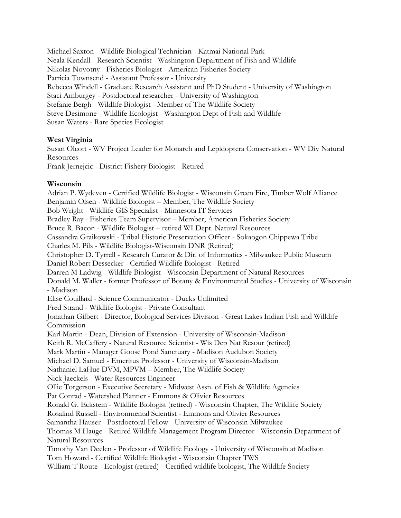Michael Saxton - Wildlife Biological Technician - Katmai National Park Neala Kendall - Research Scientist - Washington Department of Fish and Wildlife Nikolas Novotny - Fisheries Biologist - American Fisheries Society Patricia Townsend - Assistant Professor - University Rebecca Windell - Graduate Research Assistant and PhD Student - University of Washington Staci Amburgey - Postdoctoral researcher - University of Washington Stefanie Bergh - Wildlife Biologist - Member of The Wildlife Society Steve Desimone - Wildlife Ecologist - Washington Dept of Fish and Wildlife Susan Waters - Rare Species Ecologist

#### **West Virginia**

Susan Olcott - WV Project Leader for Monarch and Lepidoptera Conservation - WV Div Natural **Resources** 

Frank Jernejcic - District Fishery Biologist - Retired

#### **Wisconsin**

Adrian P. Wydeven - Certified Wildlife Biologist - Wisconsin Green Fire, Timber Wolf Alliance Benjamin Olsen - Wildlife Biologist – Member, The Wildlife Society Bob Wright - Wildlife GIS Specialist - Minnesota IT Services Bradley Ray - Fisheries Team Supervisor – Member, American Fisheries Society Bruce R. Bacon - Wildlife Biologist – retired WI Dept. Natural Resources Cassandra Graikowski - Tribal Historic Preservation Officer - Sokaogon Chippewa Tribe Charles M. Pils - Wildlife Biologist-Wisconsin DNR (Retired) Christopher D. Tyrrell - Research Curator & Dir. of Informatics - Milwaukee Public Museum Daniel Robert Dessecker - Certified Wildlife Biologist - Retired Darren M Ladwig - Wildlife Biologist - Wisconsin Department of Natural Resources Donald M. Waller - former Professor of Botany & Environmental Studies - University of Wisconsin - Madison Elise Couillard - Science Communicator - Ducks Unlimited Fred Strand - Wildlife Biologist - Private Consultant Jonathan Gilbert - Director, Biological Services Division - Great Lakes Indian Fish and Willdife Commission Karl Martin - Dean, Division of Extension - University of Wisconsin-Madison Keith R. McCaffery - Natural Resource Scientist - Wis Dep Nat Resour (retired) Mark Martin - Manager Goose Pond Sanctuary - Madison Audubon Society Michael D. Samuel - Emeritus Professor - University of Wisconsin-Madison Nathaniel LaHue DVM, MPVM – Member, The Wildlife Society Nick Jaeckels - Water Resources Engineer Ollie Torgerson - Executive Secretary - Midwest Assn. of Fish & Wildlife Agencies Pat Conrad - Watershed Planner - Emmons & Olivier Resources Ronald G. Eckstein - Wildlife Biologist (retired) - Wisconsin Chapter, The Wildlife Society Rosalind Russell - Environmental Scientist - Emmons and Olivier Resources Samantha Hauser - Postdoctoral Fellow - University of Wisconsin-Milwaukee Thomas M Hauge - Retired Wildlife Management Program Director - Wisconsin Department of Natural Resources Timothy Van Deelen - Professor of Wildlife Ecology - University of Wisconsin at Madison Tom Howard - Certified Wildlife Biologist - Wisconsin Chapter TWS William T Route - Ecologist (retired) - Certified wildlife biologist, The Wildlife Society